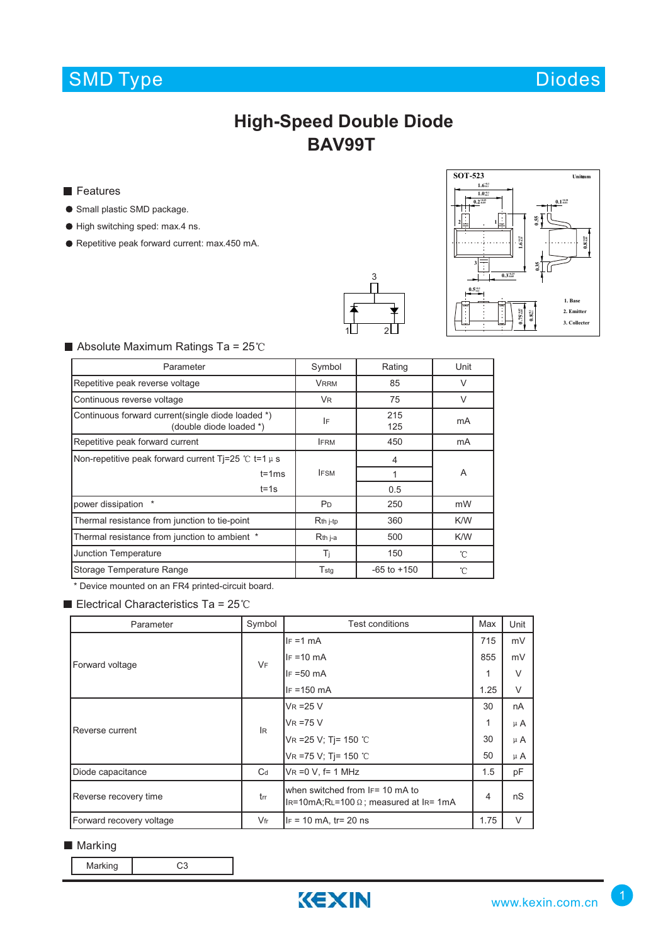# SMD Type Diodes



## **High-Speed Double Diode BAV99T**

**Features** 

- **Small plastic SMD package.**
- $\bullet$  High switching sped: max.4 ns.
- Repetitive peak forward current: max.450 mA.





### $\blacksquare$  Absolute Maximum Ratings Ta = 25°C

| Parameter                                                                    | Symbol                | Rating          | Unit   |  |  |
|------------------------------------------------------------------------------|-----------------------|-----------------|--------|--|--|
| Repetitive peak reverse voltage                                              | <b>VRRM</b>           | 85              | $\vee$ |  |  |
| Continuous reverse voltage                                                   | <b>VR</b>             | 75              | $\vee$ |  |  |
| Continuous forward current(single diode loaded *)<br>(double diode loaded *) | IF                    | 215<br>125      | mA     |  |  |
| Repetitive peak forward current                                              | <b>IFRM</b>           | 450             | mA     |  |  |
| Non-repetitive peak forward current Ti=25 °C t=1 $\mu$ s                     |                       | 4               |        |  |  |
| $t = 1ms$                                                                    | <b>IFSM</b>           |                 | A      |  |  |
| $t = 1s$                                                                     |                       | 0.5             |        |  |  |
| power dissipation                                                            | P <sub>D</sub>        | 250             | mW     |  |  |
| Thermal resistance from junction to tie-point                                | $Rth$ <sub>j-tp</sub> | 360             | K/W    |  |  |
| Thermal resistance from junction to ambient *                                | R <sub>th</sub> j-a   | 500             | K/W    |  |  |
| Junction Temperature                                                         | Ti                    | 150             | °C     |  |  |
| Storage Temperature Range                                                    | T <sub>stg</sub>      | $-65$ to $+150$ | °C     |  |  |

\* Device mounted on an FR4 printed-circuit board.

Electrical Characteristics Ta =  $25^{\circ}$ C

| Parameter                | Symbol | Test conditions                                                                      | Max  | Unit    |
|--------------------------|--------|--------------------------------------------------------------------------------------|------|---------|
| Forward voltage          | VF     | $IF = 1 mA$                                                                          | 715  | mV      |
|                          |        | $IF = 10$ mA                                                                         | 855  | mV      |
|                          |        | $IF = 50 mA$                                                                         | 1    | V       |
|                          |        | $IF = 150$ mA                                                                        | 1.25 | V       |
| Reverse current          | lR.    | $VR = 25 V$                                                                          | 30   | nA      |
|                          |        | $VR = 75 V$                                                                          | 1    | $\mu$ A |
|                          |        | VR = 25 V; Tj = 150 °C                                                               | 30   | $\mu$ A |
|                          |        | VR =75 V; Tj= 150 °C                                                                 | 50   | $\mu$ A |
| Diode capacitance        | $C_d$  | $VR = 0 V$ , f= 1 MHz                                                                | 1.5  | pF      |
| Reverse recovery time    | trr    | when switched from IF= 10 mA to<br>$IR=10mA$ ; RL=100 $\Omega$ ; measured at IR= 1mA |      | nS      |
| Forward recovery voltage | $V$ fr | $IF = 10$ mA, $tr = 20$ ns                                                           | 1.75 | $\vee$  |

### ■ Marking

Marking C3

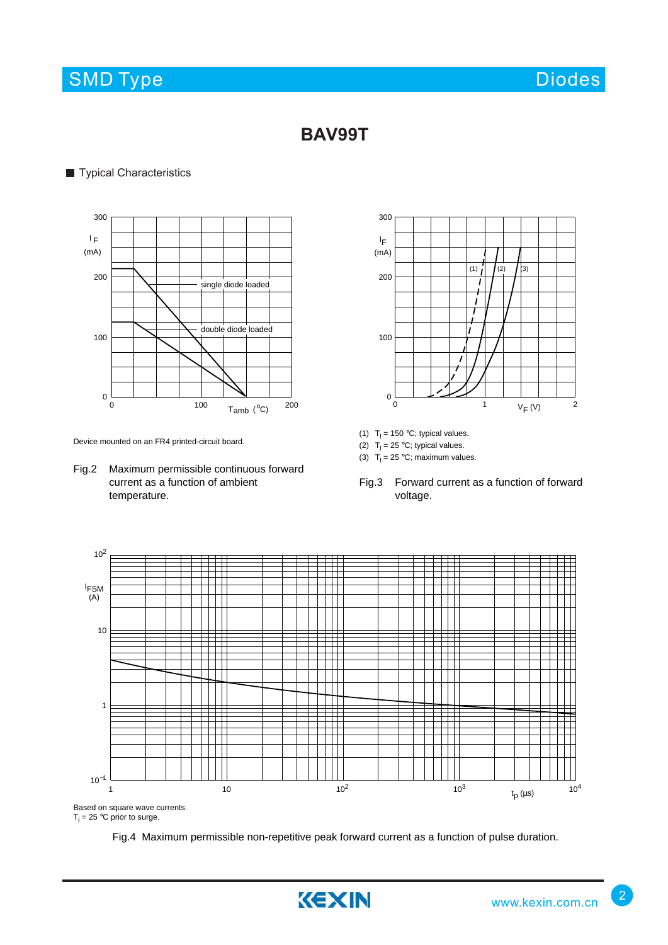## SMD Type Diodes and Diodes Diodes Diodes and Diodes Diodes and Diodes and Diodes Diodes and Diodes Diodes and Diodes

## **BAV99T**

### **Typical Characteristics**



Device mounted on an FR4 printed-circuit board.

Fig.2 Maximum permissible continuous forward current as a function of ambient temperature.



- (1)  $T_j = 150$  °C; typical values.
- (2)  $T_j = 25 °C$ ; typical values.
- (3)  $T_j = 25 \degree C$ ; maximum values.
- Fig.3 Forward current as a function of forward voltage.



Fig.4 Maximum permissible non-repetitive peak forward current as a function of pulse duration.